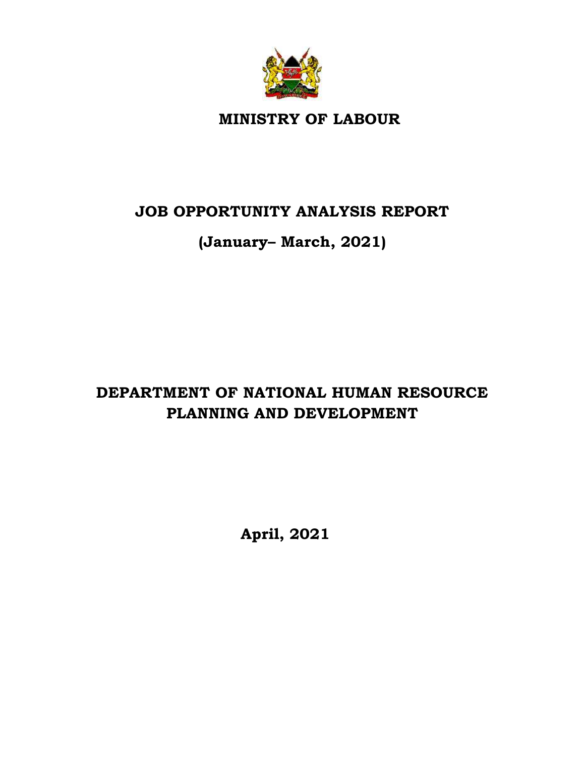

**MINISTRY OF LABOUR** 

# **JOB OPPORTUNITY ANALYSIS REPORT**

# **(January– March, 2021)**

# **DEPARTMENT OF NATIONAL HUMAN RESOURCE PLANNING AND DEVELOPMENT**

**April, 2021**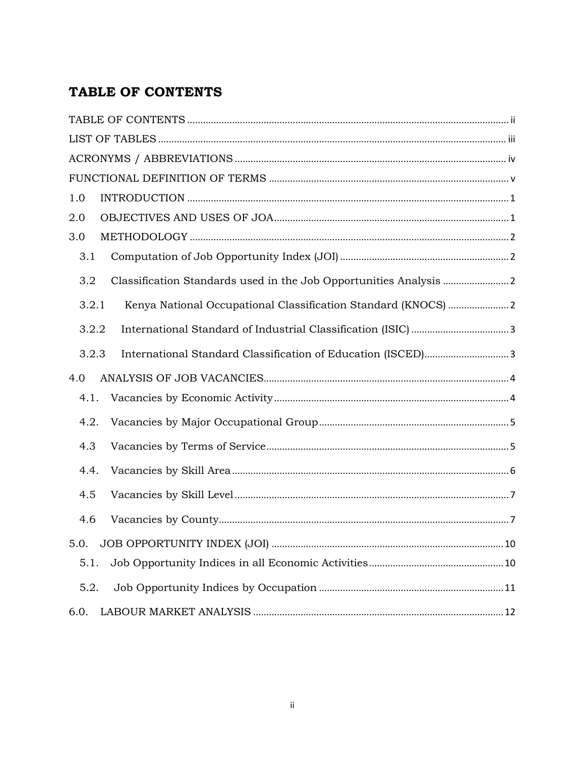# <span id="page-1-0"></span>TABLE OF CONTENTS

| 1.0                                                                     |
|-------------------------------------------------------------------------|
| 2.0                                                                     |
| 3.0                                                                     |
| 3.1                                                                     |
| 3.2                                                                     |
| 3.2.1<br>Kenya National Occupational Classification Standard (KNOCS)  2 |
| 3.2.2                                                                   |
| 3.2.3                                                                   |
| 4.0                                                                     |
| 4.1.                                                                    |
| 4.2.                                                                    |
| 4.3                                                                     |
| 4.4.                                                                    |
| 4.5                                                                     |
| 4.6                                                                     |
| 5.0.                                                                    |
| 5.1.                                                                    |
| 5.2.                                                                    |
| 6.0.                                                                    |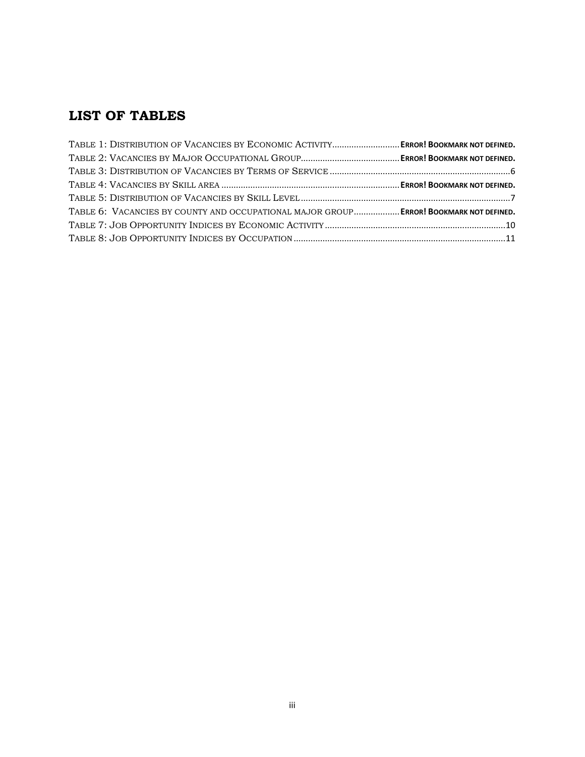# <span id="page-2-0"></span>**LIST OF TABLES**

| TABLE 1: DISTRIBUTION OF VACANCIES BY ECONOMIC ACTIVITY ERROR! BOOKMARK NOT DEFINED.   |  |
|----------------------------------------------------------------------------------------|--|
|                                                                                        |  |
|                                                                                        |  |
|                                                                                        |  |
|                                                                                        |  |
| TABLE 6: VACANCIES BY COUNTY AND OCCUPATIONAL MAJOR GROUP ERROR! BOOKMARK NOT DEFINED. |  |
|                                                                                        |  |
|                                                                                        |  |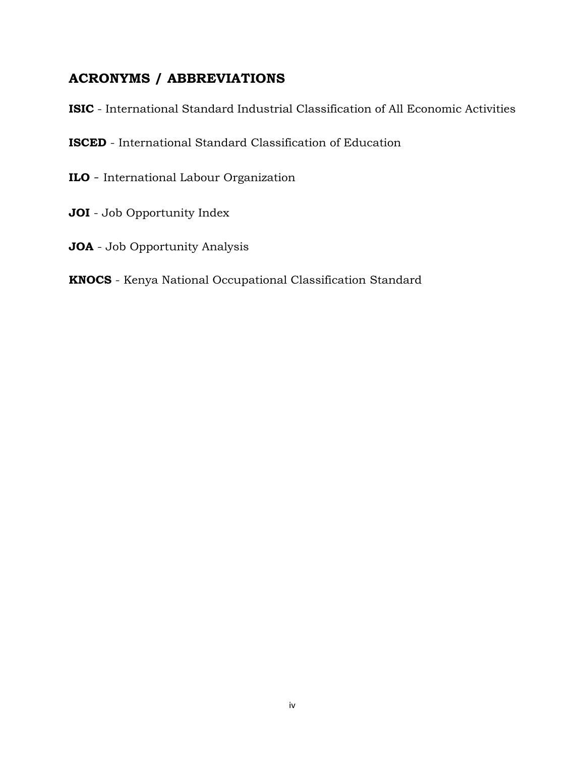## <span id="page-3-0"></span>**ACRONYMS / ABBREVIATIONS**

**ISIC** - International Standard Industrial Classification of All Economic Activities

**ISCED** - International Standard Classification of Education

- **ILO** International Labour Organization
- **JOI** Job Opportunity Index
- **JOA** Job Opportunity Analysis

#### **KNOCS** - Kenya National Occupational Classification Standard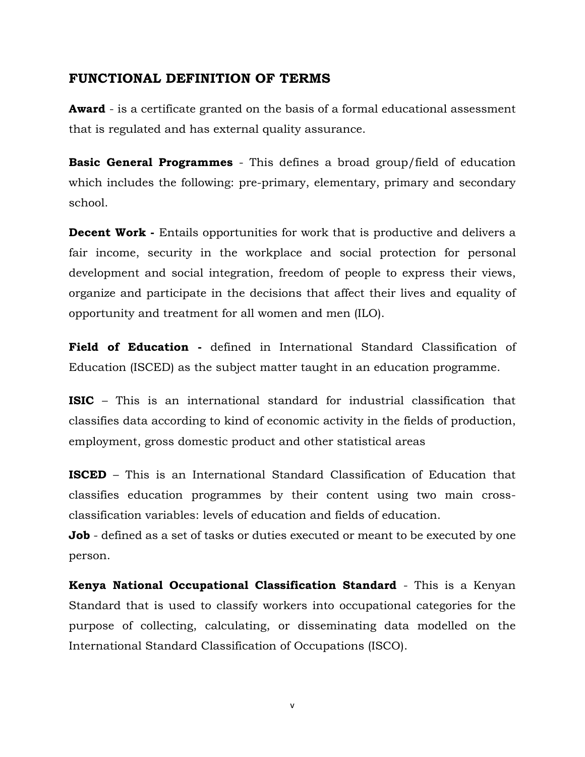#### <span id="page-4-0"></span>**FUNCTIONAL DEFINITION OF TERMS**

**Award** - is a certificate granted on the basis of a formal educational assessment that is regulated and has external quality assurance.

**Basic General Programmes** - This defines a broad group/field of education which includes the following: pre-primary, elementary, primary and secondary school.

**Decent Work** - Entails opportunities for work that is productive and delivers a fair income, security in the workplace and social protection for personal development and social integration, freedom of people to express their views, organize and participate in the decisions that affect their lives and equality of opportunity and treatment for all women and men (ILO).

**Field of Education -** defined in International Standard Classification of Education (ISCED) as the subject matter taught in an education programme.

**ISIC** – This is an international standard for industrial classification that classifies data according to kind of economic activity in the fields of production, employment, gross domestic product and other statistical areas

**ISCED** – This is an International Standard Classification of Education that classifies education programmes by their content using two main crossclassification variables: levels of education and fields of education.

**Job** - defined as a set of tasks or duties executed or meant to be executed by one person.

**Kenya National Occupational Classification Standard** - This is a Kenyan Standard that is used to classify workers into occupational categories for the purpose of collecting, calculating, or disseminating data modelled on the International Standard Classification of Occupations (ISCO).

v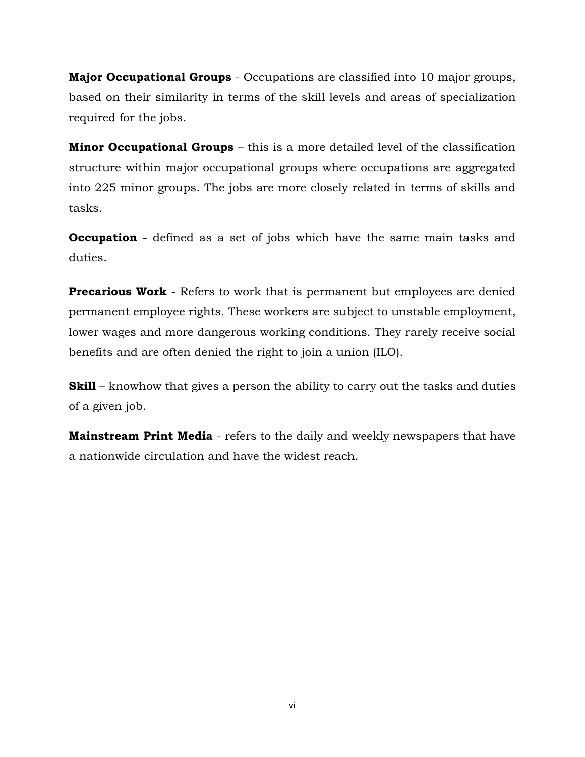**Major Occupational Groups** - Occupations are classified into 10 major groups, based on their similarity in terms of the skill levels and areas of specialization required for the jobs.

**Minor Occupational Groups** – this is a more detailed level of the classification structure within major occupational groups where occupations are aggregated into 225 minor groups. The jobs are more closely related in terms of skills and tasks.

**Occupation** - defined as a set of jobs which have the same main tasks and duties.

**Precarious Work** - Refers to work that is permanent but employees are denied permanent employee rights. These workers are subject to unstable employment, lower wages and more dangerous working conditions. They rarely receive social benefits and are often denied the right to join a union (ILO).

**Skill** – knowhow that gives a person the ability to carry out the tasks and duties of a given job.

**Mainstream Print Media** - refers to the daily and weekly newspapers that have a nationwide circulation and have the widest reach.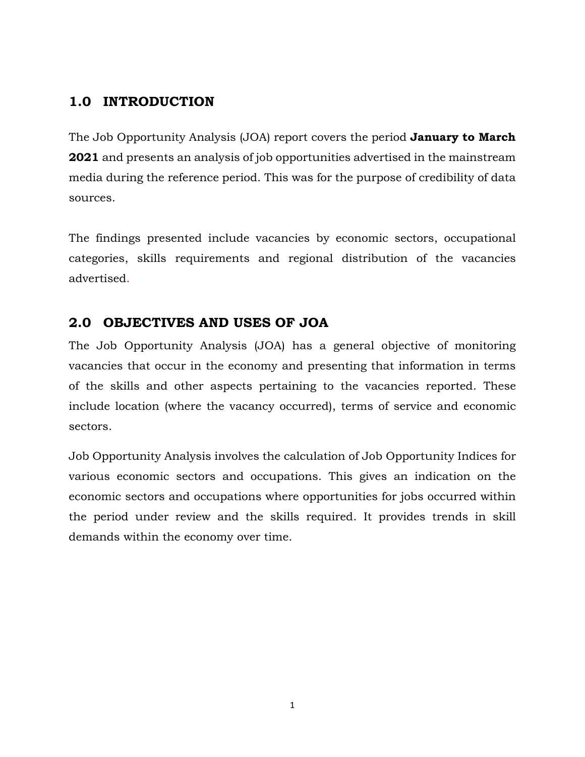# <span id="page-6-0"></span>**1.0 INTRODUCTION**

The Job Opportunity Analysis (JOA) report covers the period **January to March 2021** and presents an analysis of job opportunities advertised in the mainstream media during the reference period. This was for the purpose of credibility of data sources.

The findings presented include vacancies by economic sectors, occupational categories, skills requirements and regional distribution of the vacancies advertised.

## <span id="page-6-1"></span>**2.0 OBJECTIVES AND USES OF JOA**

The Job Opportunity Analysis (JOA) has a general objective of monitoring vacancies that occur in the economy and presenting that information in terms of the skills and other aspects pertaining to the vacancies reported. These include location (where the vacancy occurred), terms of service and economic sectors.

Job Opportunity Analysis involves the calculation of Job Opportunity Indices for various economic sectors and occupations. This gives an indication on the economic sectors and occupations where opportunities for jobs occurred within the period under review and the skills required. It provides trends in skill demands within the economy over time.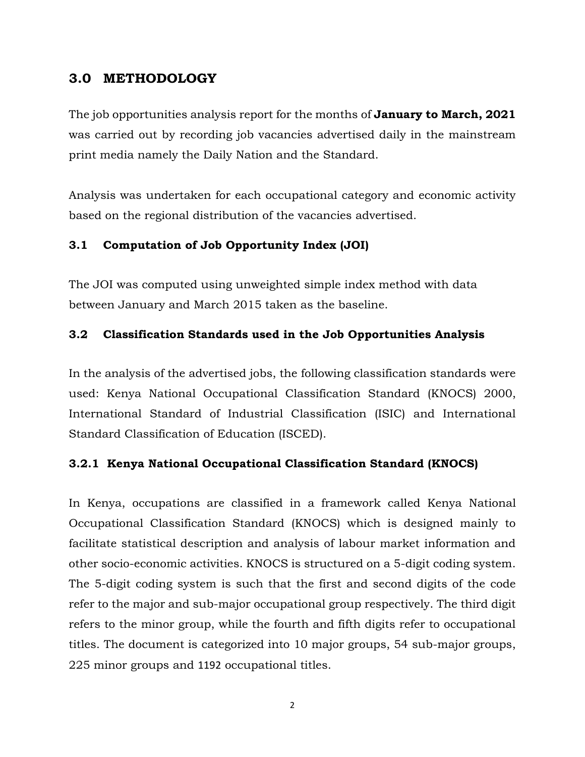### <span id="page-7-0"></span>**3.0 METHODOLOGY**

The job opportunities analysis report for the months of **January to March, 2021** was carried out by recording job vacancies advertised daily in the mainstream print media namely the Daily Nation and the Standard.

Analysis was undertaken for each occupational category and economic activity based on the regional distribution of the vacancies advertised.

#### <span id="page-7-1"></span>**3.1 Computation of Job Opportunity Index (JOI)**

The JOI was computed using unweighted simple index method with data between January and March 2015 taken as the baseline.

#### <span id="page-7-2"></span>**3.2 Classification Standards used in the Job Opportunities Analysis**

In the analysis of the advertised jobs, the following classification standards were used: Kenya National Occupational Classification Standard (KNOCS) 2000, International Standard of Industrial Classification (ISIC) and International Standard Classification of Education (ISCED).

#### <span id="page-7-3"></span>**3.2.1 Kenya National Occupational Classification Standard (KNOCS)**

In Kenya, occupations are classified in a framework called Kenya National Occupational Classification Standard (KNOCS) which is designed mainly to facilitate statistical description and analysis of labour market information and other socio-economic activities. KNOCS is structured on a 5-digit coding system. The 5-digit coding system is such that the first and second digits of the code refer to the major and sub-major occupational group respectively. The third digit refers to the minor group, while the fourth and fifth digits refer to occupational titles. The document is categorized into 10 major groups, 54 sub-major groups, 225 minor groups and 1192 occupational titles.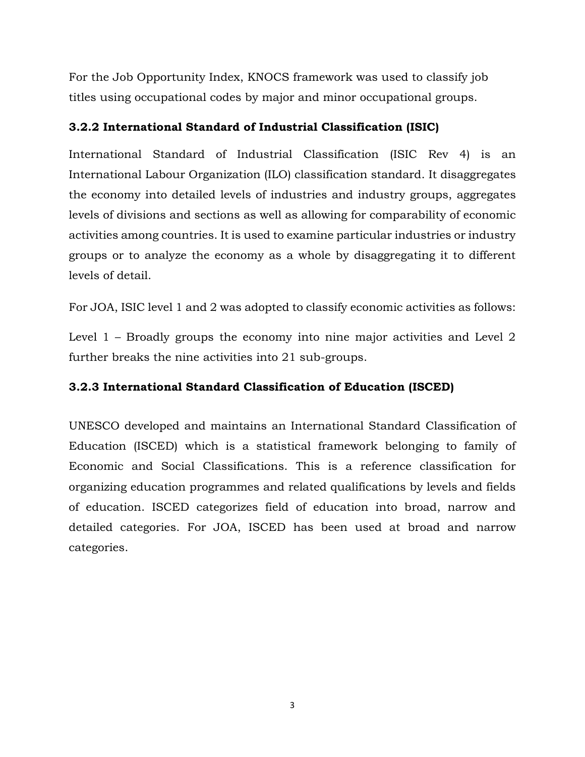For the Job Opportunity Index, KNOCS framework was used to classify job titles using occupational codes by major and minor occupational groups.

#### <span id="page-8-0"></span>**3.2.2 International Standard of Industrial Classification (ISIC)**

International Standard of Industrial Classification (ISIC Rev 4) is an International Labour Organization (ILO) classification standard. It disaggregates the economy into detailed levels of industries and industry groups, aggregates levels of divisions and sections as well as allowing for comparability of economic activities among countries. It is used to examine particular industries or industry groups or to analyze the economy as a whole by disaggregating it to different levels of detail.

For JOA, ISIC level 1 and 2 was adopted to classify economic activities as follows:

Level 1 – Broadly groups the economy into nine major activities and Level 2 further breaks the nine activities into 21 sub-groups.

#### <span id="page-8-1"></span>**3.2.3 International Standard Classification of Education (ISCED)**

UNESCO developed and maintains an International Standard Classification of Education (ISCED) which is a statistical framework belonging to family of Economic and Social Classifications. This is a reference classification for organizing education programmes and related qualifications by levels and fields of education. ISCED categorizes field of education into broad, narrow and detailed categories. For JOA, ISCED has been used at broad and narrow categories.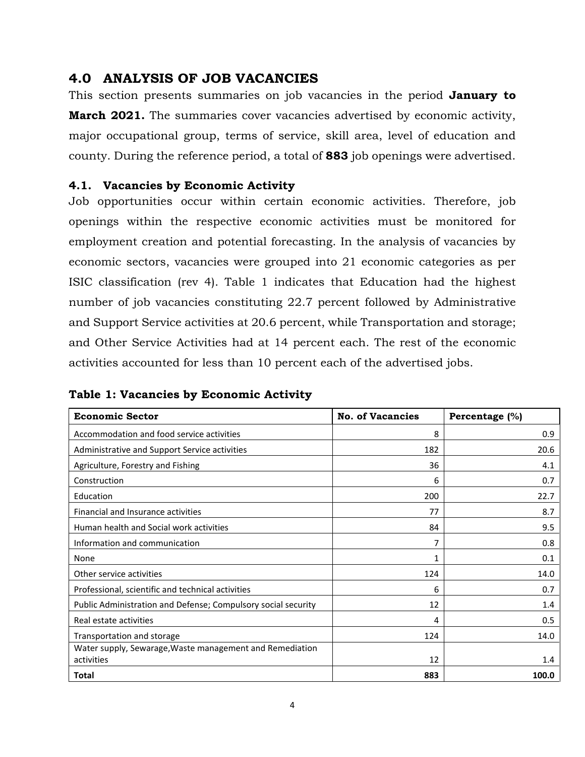### <span id="page-9-0"></span>**4.0 ANALYSIS OF JOB VACANCIES**

This section presents summaries on job vacancies in the period **January to March 2021.** The summaries cover vacancies advertised by economic activity, major occupational group, terms of service, skill area, level of education and county. During the reference period, a total of **883** job openings were advertised.

#### <span id="page-9-1"></span>**4.1. Vacancies by Economic Activity**

Job opportunities occur within certain economic activities. Therefore, job openings within the respective economic activities must be monitored for employment creation and potential forecasting. In the analysis of vacancies by economic sectors, vacancies were grouped into 21 economic categories as per ISIC classification (rev 4). Table 1 indicates that Education had the highest number of job vacancies constituting 22.7 percent followed by Administrative and Support Service activities at 20.6 percent, while Transportation and storage; and Other Service Activities had at 14 percent each. The rest of the economic activities accounted for less than 10 percent each of the advertised jobs.

| <b>Economic Sector</b>                                                 | <b>No. of Vacancies</b> | Percentage (%) |
|------------------------------------------------------------------------|-------------------------|----------------|
| Accommodation and food service activities                              | 8                       | 0.9            |
| Administrative and Support Service activities                          | 182                     | 20.6           |
| Agriculture, Forestry and Fishing                                      | 36                      | 4.1            |
| Construction                                                           | 6                       | 0.7            |
| Education                                                              | 200                     | 22.7           |
| Financial and Insurance activities                                     | 77                      | 8.7            |
| Human health and Social work activities                                | 84                      | 9.5            |
| Information and communication                                          | 7                       | 0.8            |
| None                                                                   | 1                       | 0.1            |
| Other service activities                                               | 124                     | 14.0           |
| Professional, scientific and technical activities                      | 6                       | 0.7            |
| Public Administration and Defense; Compulsory social security          | 12                      | 1.4            |
| Real estate activities                                                 | 4                       | 0.5            |
| Transportation and storage                                             | 124                     | 14.0           |
| Water supply, Sewarage, Waste management and Remediation<br>activities | 12                      | 1.4            |
| Total                                                                  | 883                     | 100.0          |

**Table 1: Vacancies by Economic Activity**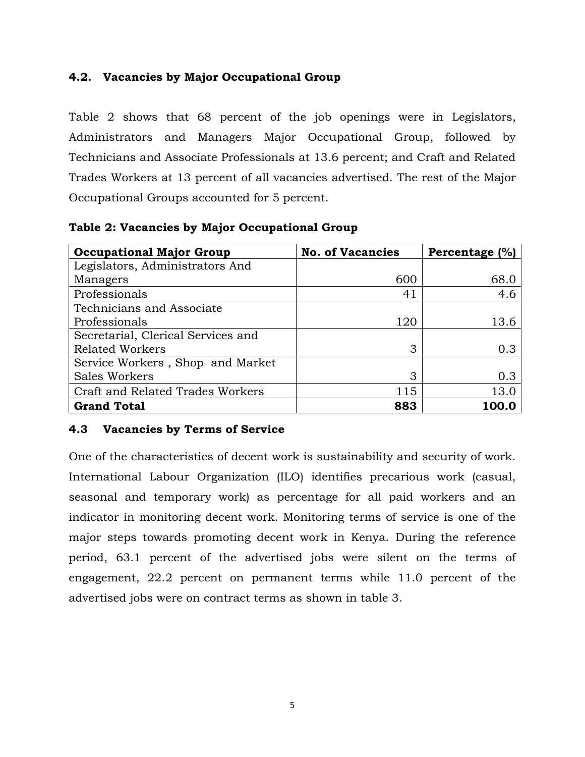#### <span id="page-10-0"></span>**4.2. Vacancies by Major Occupational Group**

Table 2 shows that 68 percent of the job openings were in Legislators, Administrators and Managers Major Occupational Group, followed by Technicians and Associate Professionals at 13.6 percent; and Craft and Related Trades Workers at 13 percent of all vacancies advertised. The rest of the Major Occupational Groups accounted for 5 percent.

| <b>Occupational Major Group</b>    | <b>No. of Vacancies</b> | Percentage (%) |
|------------------------------------|-------------------------|----------------|
| Legislators, Administrators And    |                         |                |
| Managers                           | 600                     | 68.0           |
| Professionals                      | 41                      | 4.6            |
| Technicians and Associate          |                         |                |
| Professionals                      | 120                     | 13.6           |
| Secretarial, Clerical Services and |                         |                |
| <b>Related Workers</b>             | 3                       | 0.3            |
| Service Workers, Shop and Market   |                         |                |
| Sales Workers                      | 3                       | 0.3            |
| Craft and Related Trades Workers   | 115                     | 13.0           |
| <b>Grand Total</b>                 | 883                     |                |

**Table 2: Vacancies by Major Occupational Group**

#### <span id="page-10-1"></span>**4.3 Vacancies by Terms of Service**

<span id="page-10-2"></span>One of the characteristics of decent work is sustainability and security of work. International Labour Organization (ILO) identifies precarious work (casual, seasonal and temporary work) as percentage for all paid workers and an indicator in monitoring decent work. Monitoring terms of service is one of the major steps towards promoting decent work in Kenya. During the reference period, 63.1 percent of the advertised jobs were silent on the terms of engagement, 22.2 percent on permanent terms while 11.0 percent of the advertised jobs were on contract terms as shown in table 3.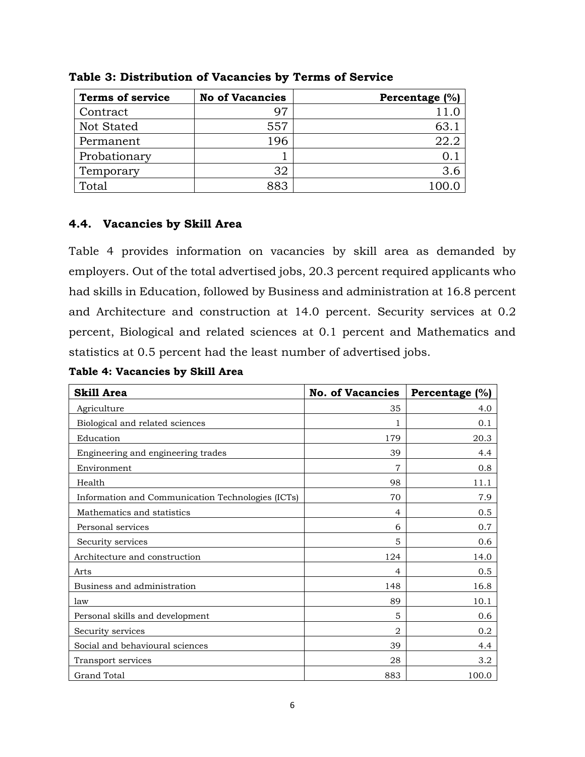| <b>Terms of service</b> | <b>No of Vacancies</b> | Percentage (%) |
|-------------------------|------------------------|----------------|
| Contract                | 97                     |                |
| Not Stated              | 557                    | 63.            |
| Permanent               | 196                    | 22.2           |
| Probationary            |                        |                |
| Temporary               | 32                     | 3.6            |
| Total                   |                        |                |

**Table 3: Distribution of Vacancies by Terms of Service**

#### <span id="page-11-0"></span>**4.4. Vacancies by Skill Area**

Table 4 provides information on vacancies by skill area as demanded by employers. Out of the total advertised jobs, 20.3 percent required applicants who had skills in Education, followed by Business and administration at 16.8 percent and Architecture and construction at 14.0 percent. Security services at 0.2 percent, Biological and related sciences at 0.1 percent and Mathematics and statistics at 0.5 percent had the least number of advertised jobs.

**Table 4: Vacancies by Skill Area**

| <b>Skill Area</b>                                 | <b>No. of Vacancies</b> | Percentage (%) |
|---------------------------------------------------|-------------------------|----------------|
| Agriculture                                       | 35                      | 4.0            |
| Biological and related sciences                   |                         | 0.1            |
| Education                                         | 179                     | 20.3           |
| Engineering and engineering trades                | 39                      | 4.4            |
| Environment                                       | 7                       | 0.8            |
| Health                                            | 98                      | 11.1           |
| Information and Communication Technologies (ICTs) | 70                      | 7.9            |
| Mathematics and statistics                        | 4                       | $0.5^{\circ}$  |
| Personal services                                 | 6                       | 0.7            |
| Security services                                 | 5                       | 0.6            |
| Architecture and construction                     | 124                     | 14.0           |
| Arts                                              | $\overline{4}$          | 0.5            |
| Business and administration                       | 148                     | 16.8           |
| law                                               | 89                      | 10.1           |
| Personal skills and development                   | 5                       | 0.6            |
| Security services                                 | $\overline{2}$          | 0.2            |
| Social and behavioural sciences                   | 39                      | 4.4            |
| Transport services                                | 28                      | 3.2            |
| <b>Grand Total</b>                                | 883                     | 100.0          |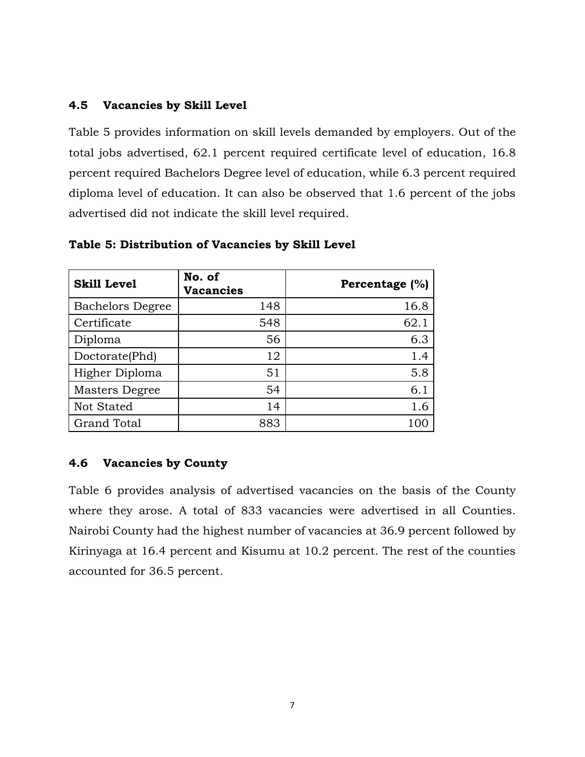#### <span id="page-12-0"></span>**4.5 Vacancies by Skill Level**

Table 5 provides information on skill levels demanded by employers. Out of the total jobs advertised, 62.1 percent required certificate level of education, 16.8 percent required Bachelors Degree level of education, while 6.3 percent required diploma level of education. It can also be observed that 1.6 percent of the jobs advertised did not indicate the skill level required.

| <b>Skill Level</b>      | No. of<br><b>Vacancies</b> | Percentage (%) |
|-------------------------|----------------------------|----------------|
| <b>Bachelors Degree</b> | 148                        | 16.8           |
| Certificate             | 548                        | 62.1           |
| Diploma                 | 56                         | 6.3            |
| Doctorate(Phd)          | 12                         | 1.4            |
| Higher Diploma          | 51                         | 5.8            |
| Masters Degree          | 54                         | 6.1            |
| <b>Not Stated</b>       | 14                         | 1.6            |
| <b>Grand Total</b>      | 883                        |                |

#### <span id="page-12-2"></span>**Table 5: Distribution of Vacancies by Skill Level**

#### <span id="page-12-1"></span>**4.6 Vacancies by County**

Table 6 provides analysis of advertised vacancies on the basis of the County where they arose. A total of 833 vacancies were advertised in all Counties. Nairobi County had the highest number of vacancies at 36.9 percent followed by Kirinyaga at 16.4 percent and Kisumu at 10.2 percent. The rest of the counties accounted for 36.5 percent.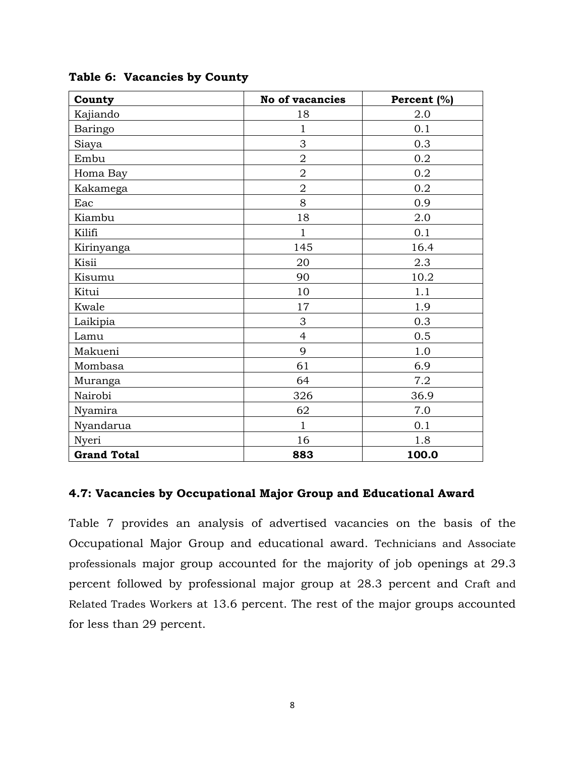| County             | <b>No of vacancies</b> | Percent (%) |
|--------------------|------------------------|-------------|
| Kajiando           | 18                     | 2.0         |
| Baringo            | $\mathbf{1}$           | 0.1         |
| Siaya              | 3                      | 0.3         |
| Embu               | $\overline{2}$         | 0.2         |
| Homa Bay           | $\overline{2}$         | 0.2         |
| Kakamega           | $\overline{2}$         | 0.2         |
| Eac                | 8                      | 0.9         |
| Kiambu             | 18                     | 2.0         |
| Kilifi             | $\mathbf{1}$           | 0.1         |
| Kirinyanga         | 145                    | 16.4        |
| Kisii              | 20                     | 2.3         |
| Kisumu             | 90                     | 10.2        |
| Kitui              | 10                     | 1.1         |
| Kwale              | 17                     | 1.9         |
| Laikipia           | 3                      | 0.3         |
| Lamu               | $\overline{4}$         | 0.5         |
| Makueni            | 9                      | 1.0         |
| Mombasa            | 61                     | 6.9         |
| Muranga            | 64                     | 7.2         |
| Nairobi            | 326                    | 36.9        |
| Nyamira            | 62                     | 7.0         |
| Nyandarua          | $\mathbf{1}$           | 0.1         |
| Nyeri              | 16                     | 1.8         |
| <b>Grand Total</b> | 883                    | 100.0       |

#### **Table 6: Vacancies by County**

#### **4.7: Vacancies by Occupational Major Group and Educational Award**

Table 7 provides an analysis of advertised vacancies on the basis of the Occupational Major Group and educational award. Technicians and Associate professionals major group accounted for the majority of job openings at 29.3 percent followed by professional major group at 28.3 percent and Craft and Related Trades Workers at 13.6 percent. The rest of the major groups accounted for less than 29 percent.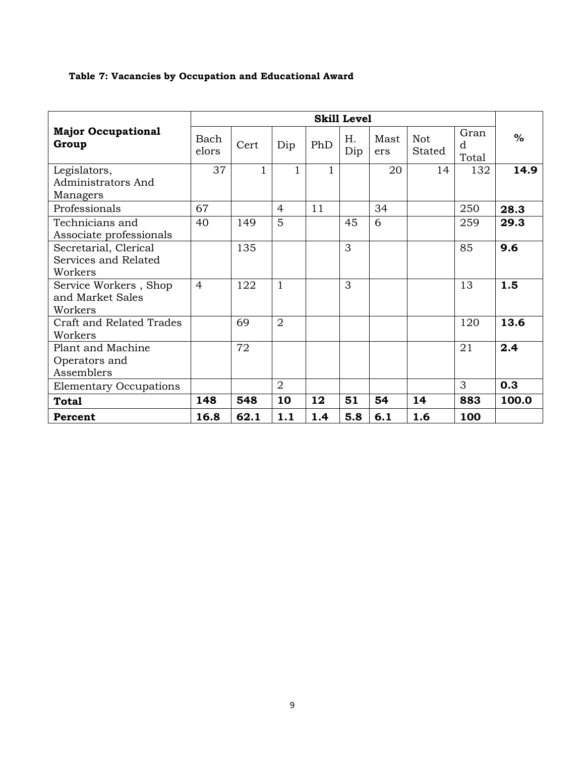#### **Table 7: Vacancies by Occupation and Educational Award**

|                                                          | <b>Skill Level</b> |              |                |              |           |             |                      |                    |       |
|----------------------------------------------------------|--------------------|--------------|----------------|--------------|-----------|-------------|----------------------|--------------------|-------|
| <b>Major Occupational</b><br>Group                       | Bach<br>elors      | Cert         | Dip            | PhD          | H.<br>Dip | Mast<br>ers | <b>Not</b><br>Stated | Gran<br>d<br>Total | $\%$  |
| Legislators,<br>Administrators And<br>Managers           | 37                 | $\mathbf{1}$ | 1              | $\mathbf{1}$ |           | 20          | 14                   | 132                | 14.9  |
| Professionals                                            | 67                 |              | $\overline{4}$ | 11           |           | 34          |                      | 250                | 28.3  |
| Technicians and<br>Associate professionals               | 40                 | 149          | 5              |              | 45        | 6           |                      | 259                | 29.3  |
| Secretarial, Clerical<br>Services and Related<br>Workers |                    | 135          |                |              | 3         |             |                      | 85                 | 9.6   |
| Service Workers, Shop<br>and Market Sales<br>Workers     | $\overline{4}$     | 122          | 1              |              | 3         |             |                      | 13                 | 1.5   |
| Craft and Related Trades<br>Workers                      |                    | 69           | $\overline{2}$ |              |           |             |                      | 120                | 13.6  |
| Plant and Machine<br>Operators and<br>Assemblers         |                    | 72           |                |              |           |             |                      | 21                 | 2.4   |
| <b>Elementary Occupations</b>                            |                    |              | $\overline{2}$ |              |           |             |                      | 3                  | 0.3   |
| <b>Total</b>                                             | 148                | 548          | 10             | 12           | 51        | 54          | 14                   | 883                | 100.0 |
| Percent                                                  | 16.8               | 62.1         | 1.1            | 1.4          | 5.8       | 6.1         | 1.6                  | 100                |       |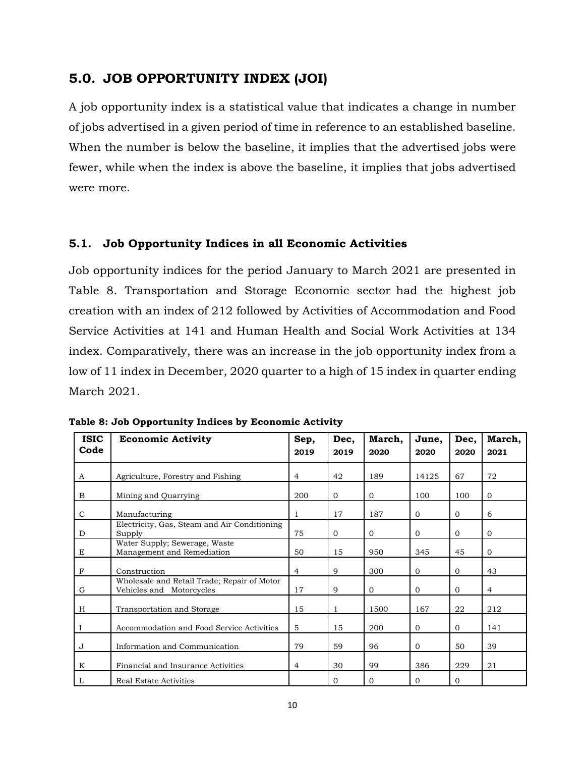#### <span id="page-15-0"></span>**5.0. JOB OPPORTUNITY INDEX (JOI)**

A job opportunity index is a statistical value that indicates a change in number of jobs advertised in a given period of time in reference to an established baseline. When the number is below the baseline, it implies that the advertised jobs were fewer, while when the index is above the baseline, it implies that jobs advertised were more.

#### <span id="page-15-1"></span>**5.1. Job Opportunity Indices in all Economic Activities**

Job opportunity indices for the period January to March 2021 are presented in Table 8. Transportation and Storage Economic sector had the highest job creation with an index of 212 followed by Activities of Accommodation and Food Service Activities at 141 and Human Health and Social Work Activities at 134 index. Comparatively, there was an increase in the job opportunity index from a low of 11 index in December, 2020 quarter to a high of 15 index in quarter ending March 2021.

| <b>ISIC</b> | <b>Economic Activity</b>                                                | Sep,           | Dec,         | March,       | June,        | Dec,         | March,         |
|-------------|-------------------------------------------------------------------------|----------------|--------------|--------------|--------------|--------------|----------------|
| Code        |                                                                         | 2019           | 2019         | 2020         | 2020         | 2020         | 2021           |
| A           | Agriculture, Forestry and Fishing                                       | 4              | 42           | 189          | 14125        | 67           | 72             |
| B           | Mining and Quarrying                                                    | 200            | $\mathbf{0}$ | $\mathbf{0}$ | 100          | 100          | $\mathbf{0}$   |
| $\mathbf C$ | Manufacturing                                                           | 1              | 17           | 187          | $\mathbf{0}$ | $\mathbf{0}$ | 6              |
| D           | Electricity, Gas, Steam and Air Conditioning<br>Supply                  | 75             | $\Omega$     | $\mathbf{0}$ | $\Omega$     | $\Omega$     | $\mathbf{0}$   |
| E           | Water Supply; Sewerage, Waste<br>Management and Remediation             | 50             | 15           | 950          | 345          | 45           | $\Omega$       |
| $_{\rm F}$  | Construction                                                            | $\overline{4}$ | 9            | 300          | $\mathbf{0}$ | $\mathbf{0}$ | 43             |
| G           | Wholesale and Retail Trade; Repair of Motor<br>Vehicles and Motorcycles | 17             | 9            | $\mathbf{0}$ | $\mathbf{0}$ | $\mathbf{0}$ | $\overline{4}$ |
| H           | Transportation and Storage                                              | 15             | 1            | 1500         | 167          | 22           | 212            |
|             | Accommodation and Food Service Activities                               | 5              | 15           | 200          | $\mathbf{0}$ | $\mathbf{0}$ | 141            |
| J           | Information and Communication                                           | 79             | 59           | 96           | $\mathbf{0}$ | 50           | 39             |
| K           | Financial and Insurance Activities                                      | 4              | 30           | 99           | 386          | 229          | 21             |
| L           | Real Estate Activities                                                  |                | $\Omega$     | $\mathbf{0}$ | $\Omega$     | $\mathbf{0}$ |                |

<span id="page-15-2"></span>**Table 8: Job Opportunity Indices by Economic Activity**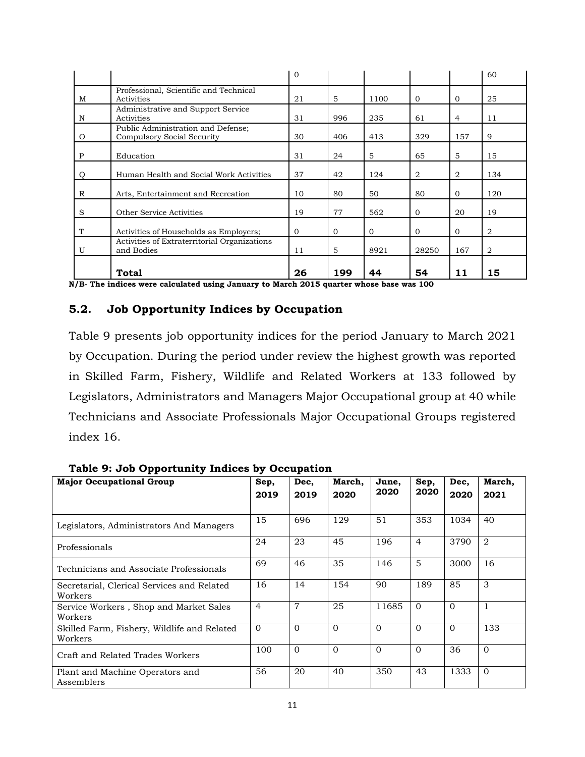|   |                                                                  | $\Omega$     |              |              |              |                | 60             |
|---|------------------------------------------------------------------|--------------|--------------|--------------|--------------|----------------|----------------|
| M | Professional, Scientific and Technical<br>Activities             | 21           | 5            | 1100         | $\Omega$     | $\mathbf{0}$   | 25             |
| N | Administrative and Support Service<br>Activities                 | 31           | 996          | 235          | 61           | $\overline{4}$ | 11             |
| O | Public Administration and Defense;<br>Compulsory Social Security | 30           | 406          | 413          | 329          | 157            | 9              |
| P | Education                                                        | 31           | 24           | 5            | 65           | 5              | 15             |
| Q | Human Health and Social Work Activities                          | 37           | 42           | 124          | 2            | 2              | 134            |
| R | Arts, Entertainment and Recreation                               | 10           | 80           | 50           | 80           | $\mathbf{0}$   | 120            |
| S | Other Service Activities                                         | 19           | 77           | 562          | $\mathbf{0}$ | 20             | 19             |
| T | Activities of Households as Employers;                           | $\mathbf{0}$ | $\mathbf{0}$ | $\mathbf{0}$ | $\mathbf{0}$ | $\mathbf{0}$   | 2              |
| U | Activities of Extraterritorial Organizations<br>and Bodies       | 11           | 5            | 8921         | 28250        | 167            | $\overline{2}$ |
|   | <b>Total</b>                                                     | 26           | 199          | 44           | 54           | 11             | 15             |

**N/B- The indices were calculated using January to March 2015 quarter whose base was 100**

#### <span id="page-16-0"></span>**5.2. Job Opportunity Indices by Occupation**

Table 9 presents job opportunity indices for the period January to March 2021 by Occupation. During the period under review the highest growth was reported in Skilled Farm, Fishery, Wildlife and Related Workers at 133 followed by Legislators, Administrators and Managers Major Occupational group at 40 while Technicians and Associate Professionals Major Occupational Groups registered index 16.

| <b>Major Occupational Group</b>                        | Sep,<br>2019   | Dec,<br>2019   | March,<br>2020 | June,<br>2020 | Sep,<br>2020   | Dec,<br>2020 | March,<br>2021 |
|--------------------------------------------------------|----------------|----------------|----------------|---------------|----------------|--------------|----------------|
| Legislators, Administrators And Managers               | 15             | 696            | 129            | 51            | 353            | 1034         | 40             |
| Professionals                                          | 24             | 23             | 45             | 196           | $\overline{4}$ | 3790         | $\overline{2}$ |
| Technicians and Associate Professionals                | 69             | 46             | 35             | 146           | 5              | 3000         | 16             |
| Secretarial, Clerical Services and Related<br>Workers  | 16             | 14             | 154            | 90            | 189            | 85           | 3              |
| Service Workers, Shop and Market Sales<br>Workers      | $\overline{4}$ | $\overline{7}$ | 25             | 11685         | $\Omega$       | $\Omega$     | $\mathbf{1}$   |
| Skilled Farm, Fishery, Wildlife and Related<br>Workers | $\Omega$       | $\Omega$       | $\Omega$       | $\Omega$      | $\Omega$       | $\Omega$     | 133            |
| Craft and Related Trades Workers                       | 100            | $\Omega$       | $\Omega$       | $\Omega$      | $\Omega$       | 36           | $\Omega$       |
| Plant and Machine Operators and<br>Assemblers          | 56             | 20             | 40             | 350           | 43             | 1333         | $\Omega$       |

<span id="page-16-1"></span>**Table 9: Job Opportunity Indices by Occupation**